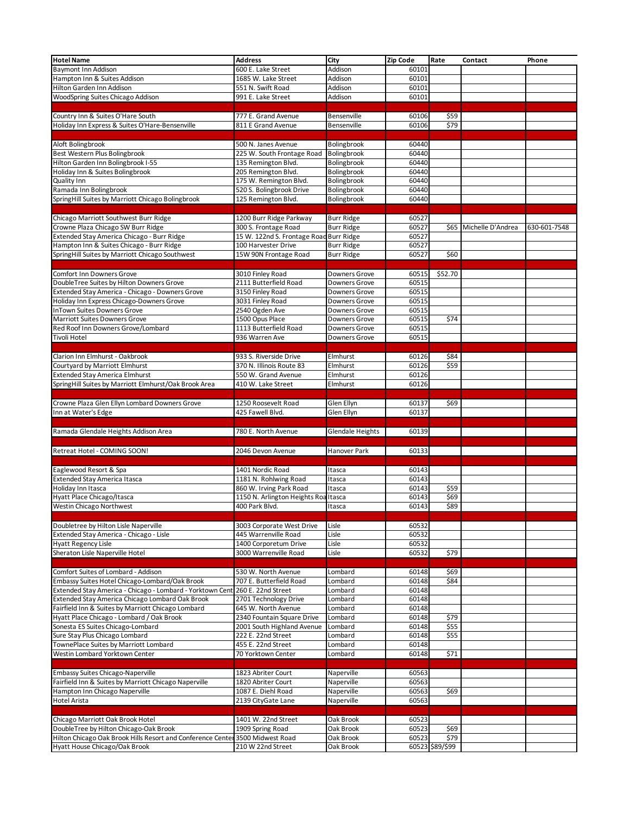| <b>Hotel Name</b>                                                                     | <b>Address</b>                                 | City              | Zip Code | Rate            | Contact                | Phone        |
|---------------------------------------------------------------------------------------|------------------------------------------------|-------------------|----------|-----------------|------------------------|--------------|
| <b>Baymont Inn Addison</b>                                                            | 600 E. Lake Street                             | Addison           | 60101    |                 |                        |              |
| Hampton Inn & Suites Addison                                                          | 1685 W. Lake Street                            | Addison           | 60101    |                 |                        |              |
|                                                                                       |                                                |                   |          |                 |                        |              |
| Hilton Garden Inn Addison                                                             | 551 N. Swift Road                              | Addison           | 60101    |                 |                        |              |
| WoodSpring Suites Chicago Addison                                                     | 991 E. Lake Street                             | Addison           | 60101    |                 |                        |              |
|                                                                                       |                                                |                   |          |                 |                        |              |
| Country Inn & Suites O'Hare South                                                     | 777 E. Grand Avenue                            | Bensenville       | 60106    | \$59            |                        |              |
| Holiday Inn Express & Suites O'Hare-Bensenville                                       | 811 E Grand Avenue                             | Bensenville       | 60106    | \$79            |                        |              |
|                                                                                       |                                                |                   |          |                 |                        |              |
| Aloft Bolingbrook                                                                     | 500 N. Janes Avenue                            | Bolingbrook       | 60440    |                 |                        |              |
| Best Western Plus Bolingbrook                                                         | 225 W. South Frontage Road                     | Bolingbrook       | 60440    |                 |                        |              |
| Hilton Garden Inn Bolingbrook I-55                                                    | 135 Remington Blvd.                            | Bolingbrook       | 60440    |                 |                        |              |
| Holiday Inn & Suites Bolingbrook                                                      | 205 Remington Blvd.                            | Bolingbrook       | 60440    |                 |                        |              |
|                                                                                       |                                                |                   | 60440    |                 |                        |              |
| Quality Inn                                                                           | 175 W. Remington Blvd.                         | Bolingbrook       |          |                 |                        |              |
| Ramada Inn Bolingbrook                                                                | 520 S. Bolingbrook Drive                       | Bolingbrook       | 60440    |                 |                        |              |
| SpringHill Suites by Marriott Chicago Bolingbrook                                     | 125 Remington Blvd.                            | Bolingbrook       | 60440    |                 |                        |              |
|                                                                                       |                                                |                   |          |                 |                        |              |
| Chicago Marriott Southwest Burr Ridge                                                 | 1200 Burr Ridge Parkway                        | <b>Burr Ridge</b> | 60527    |                 |                        |              |
| Crowne Plaza Chicago SW Burr Ridge                                                    | 300 S. Frontage Road                           | <b>Burr Ridge</b> | 60527    |                 | \$65 Michelle D'Andrea | 630-601-7548 |
| Extended Stay America Chicago - Burr Ridge                                            | 15 W. 122nd S. Frontage Road Burr Ridge        |                   | 60527    |                 |                        |              |
| Hampton Inn & Suites Chicago - Burr Ridge                                             | 100 Harvester Drive                            | <b>Burr Ridge</b> | 60527    |                 |                        |              |
| SpringHill Suites by Marriott Chicago Southwest                                       | 15W 90N Frontage Road                          | <b>Burr Ridge</b> | 60527    | \$60            |                        |              |
|                                                                                       |                                                |                   |          |                 |                        |              |
|                                                                                       |                                                |                   |          |                 |                        |              |
| Comfort Inn Downers Grove<br>DoubleTree Suites by Hilton Downers Grove                | 3010 Finley Road                               | Downers Grove     | 60515    | \$52.70         |                        |              |
|                                                                                       | 2111 Butterfield Road                          | Downers Grove     | 60515    |                 |                        |              |
| Extended Stay America - Chicago - Downers Grove                                       | 3150 Finley Road                               | Downers Grove     | 60515    |                 |                        |              |
| Holiday Inn Express Chicago-Downers Grove                                             | 3031 Finley Road                               | Downers Grove     | 60515    |                 |                        |              |
| <b>InTown Suites Downers Grove</b>                                                    | 2540 Ogden Ave                                 | Downers Grove     | 60515    |                 |                        |              |
| Marriott Suites Downers Grove                                                         | 1500 Opus Place                                | Downers Grove     | 60515    | \$74            |                        |              |
| Red Roof Inn Downers Grove/Lombard                                                    | 1113 Butterfield Road                          | Downers Grove     | 60515    |                 |                        |              |
| <b>Tivoli Hotel</b>                                                                   | 936 Warren Ave                                 | Downers Grove     | 60515    |                 |                        |              |
|                                                                                       |                                                |                   |          |                 |                        |              |
| Clarion Inn Elmhurst - Oakbrook                                                       | 933 S. Riverside Drive                         | Elmhurst          | 60126    | \$84            |                        |              |
| Courtyard by Marriott Elmhurst                                                        | 370 N. Illinois Route 83                       | Elmhurst          | 60126    | \$59            |                        |              |
| <b>Extended Stay America Elmhurst</b>                                                 | 550 W. Grand Avenue                            | Elmhurst          | 60126    |                 |                        |              |
| SpringHill Suites by Marriott Elmhurst/Oak Brook Area                                 | 410 W. Lake Street                             | Elmhurst          | 60126    |                 |                        |              |
|                                                                                       |                                                |                   |          |                 |                        |              |
|                                                                                       |                                                |                   |          |                 |                        |              |
| Crowne Plaza Glen Ellyn Lombard Downers Grove                                         | 1250 Roosevelt Road                            | Glen Ellyn        | 60137    | \$69            |                        |              |
| Inn at Water's Edge                                                                   | 425 Fawell Blvd.                               | Glen Ellyn        | 60137    |                 |                        |              |
|                                                                                       |                                                |                   |          |                 |                        |              |
| Ramada Glendale Heights Addison Area                                                  | 780 E. North Avenue                            | Glendale Heights  | 60139    |                 |                        |              |
|                                                                                       |                                                |                   |          |                 |                        |              |
| Retreat Hotel - COMING SOON!                                                          | 2046 Devon Avenue                              | Hanover Park      | 60133    |                 |                        |              |
|                                                                                       |                                                |                   |          |                 |                        |              |
|                                                                                       |                                                |                   |          |                 |                        |              |
| Eaglewood Resort & Spa                                                                | 1401 Nordic Road                               | Itasca            | 60143    |                 |                        |              |
| <b>Extended Stay America Itasca</b>                                                   | 1181 N. Rohlwing Road                          | Itasca            | 60143    |                 |                        |              |
| Holiday Inn Itasca                                                                    | 860 W. Irving Park Road                        | Itasca            | 60143    | \$59            |                        |              |
| Hyatt Place Chicago/Itasca                                                            | 1150 N. Arlington Heights Roa Itasca           |                   | 60143    | \$69            |                        |              |
| Westin Chicago Northwest                                                              | 400 Park Blvd.                                 | Itasca            | 60143    | \$89            |                        |              |
|                                                                                       |                                                |                   |          |                 |                        |              |
| Doubletree by Hilton Lisle Naperville                                                 | 3003 Corporate West Drive                      | Lisle             | 60532    |                 |                        |              |
| Extended Stay America - Chicago - Lisle                                               | 445 Warrenville Road                           | Lisle             | 60532    |                 |                        |              |
| <b>Hyatt Regency Lisle</b>                                                            | 1400 Corporetum Drive                          | Lisle             | 60532    |                 |                        |              |
| Sheraton Lisle Naperville Hotel                                                       | 3000 Warrenville Road                          | Lisle             | 60532    | \$79            |                        |              |
|                                                                                       |                                                |                   |          |                 |                        |              |
|                                                                                       |                                                |                   |          |                 |                        |              |
| Comfort Suites of Lombard - Addison<br>Embassy Suites Hotel Chicago-Lombard/Oak Brook | 530 W. North Avenue<br>707 E. Butterfield Road | Lombard           | 60148    | \$69<br>\$84    |                        |              |
|                                                                                       |                                                | Lombard           | 60148    |                 |                        |              |
| Extended Stay America - Chicago - Lombard - Yorktown Cent                             | 260 E. 22nd Street                             | Lombard           | 60148    |                 |                        |              |
| Extended Stay America Chicago Lombard Oak Brook                                       | 2701 Technology Drive                          | Lombard           | 60148    |                 |                        |              |
| Fairfield Inn & Suites by Marriott Chicago Lombard                                    | 645 W. North Avenue                            | Lombard           | 60148    |                 |                        |              |
| Hyatt Place Chicago - Lombard / Oak Brook                                             | 2340 Fountain Square Drive                     | Lombard           | 60148    | \$79            |                        |              |
| Sonesta ES Suites Chicago-Lombard                                                     | 2001 South Highland Avenue                     | Lombard           | 60148    | \$55            |                        |              |
| Sure Stay Plus Chicago Lombard                                                        | 222 E. 22nd Street                             | Lombard           | 60148    | \$55            |                        |              |
| TownePlace Suites by Marriott Lombard                                                 | 455 E. 22nd Street                             | Lombard           | 60148    |                 |                        |              |
| Westin Lombard Yorktown Center                                                        | 70 Yorktown Center                             | Lombard           | 60148    | \$71            |                        |              |
|                                                                                       |                                                |                   |          |                 |                        |              |
| <b>Embassy Suites Chicago-Naperville</b>                                              | 1823 Abriter Court                             | Naperville        | 60563    |                 |                        |              |
| Fairfield Inn & Suites by Marriott Chicago Naperville                                 | 1820 Abriter Court                             | Naperville        | 60563    |                 |                        |              |
| Hampton Inn Chicago Naperville                                                        | 1087 E. Diehl Road                             | Naperville        | 60563    | \$69            |                        |              |
|                                                                                       |                                                |                   | 60563    |                 |                        |              |
| <b>Hotel Arista</b>                                                                   | 2139 CityGate Lane                             | Naperville        |          |                 |                        |              |
|                                                                                       |                                                |                   |          |                 |                        |              |
| Chicago Marriott Oak Brook Hotel                                                      | 1401 W. 22nd Street                            | Oak Brook         | 60523    |                 |                        |              |
| DoubleTree by Hilton Chicago-Oak Brook                                                | 1909 Spring Road                               | Oak Brook         | 60523    | \$69            |                        |              |
| Hilton Chicago Oak Brook Hills Resort and Conference Center                           | 3500 Midwest Road                              | Oak Brook         | 60523    | \$79            |                        |              |
| Hyatt House Chicago/Oak Brook                                                         | 210 W 22nd Street                              | Oak Brook         |          | 60523 \$89/\$99 |                        |              |